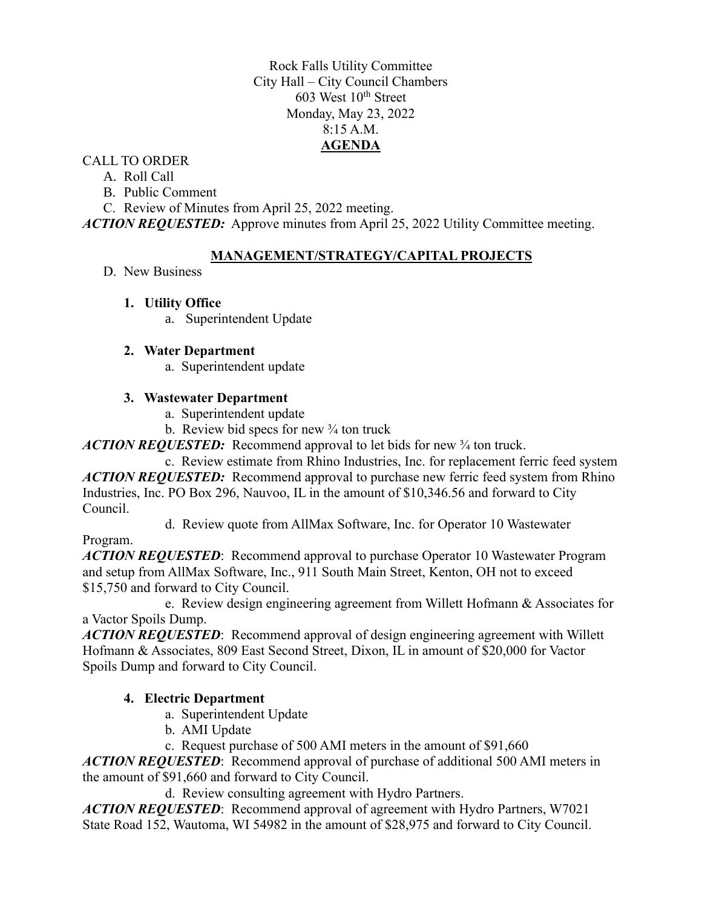Rock Falls Utility Committee City Hall – City Council Chambers  $603$  West  $10<sup>th</sup>$  Street Monday, May 23, 2022 8:15 A.M. **AGENDA**

## CALL TO ORDER

- A. Roll Call
- B. Public Comment

C. Review of Minutes from April 25, 2022 meeting.

*ACTION REQUESTED:* Approve minutes from April 25, 2022 Utility Committee meeting.

## **MANAGEMENT/STRATEGY/CAPITAL PROJECTS**

D. New Business

## **1. Utility Office**

a. Superintendent Update

## **2. Water Department**

a. Superintendent update

## **3. Wastewater Department**

- a. Superintendent update
- b. Review bid specs for new  $\frac{3}{4}$  ton truck

*ACTION REQUESTED:* Recommend approval to let bids for new ¾ ton truck.

c. Review estimate from Rhino Industries, Inc. for replacement ferric feed system *ACTION REQUESTED:* Recommend approval to purchase new ferric feed system from Rhino Industries, Inc. PO Box 296, Nauvoo, IL in the amount of \$10,346.56 and forward to City Council.

d. Review quote from AllMax Software, Inc. for Operator 10 Wastewater

Program.

*ACTION REQUESTED*: Recommend approval to purchase Operator 10 Wastewater Program and setup from AllMax Software, Inc., 911 South Main Street, Kenton, OH not to exceed \$15,750 and forward to City Council.

e. Review design engineering agreement from Willett Hofmann & Associates for a Vactor Spoils Dump.

*ACTION REQUESTED*: Recommend approval of design engineering agreement with Willett Hofmann & Associates, 809 East Second Street, Dixon, IL in amount of \$20,000 for Vactor Spoils Dump and forward to City Council.

# **4. Electric Department**

- a. Superintendent Update
- b. AMI Update
- c. Request purchase of 500 AMI meters in the amount of \$91,660

*ACTION REQUESTED*: Recommend approval of purchase of additional 500 AMI meters in the amount of \$91,660 and forward to City Council.

d. Review consulting agreement with Hydro Partners.

*ACTION REQUESTED*: Recommend approval of agreement with Hydro Partners, W7021 State Road 152, Wautoma, WI 54982 in the amount of \$28,975 and forward to City Council.